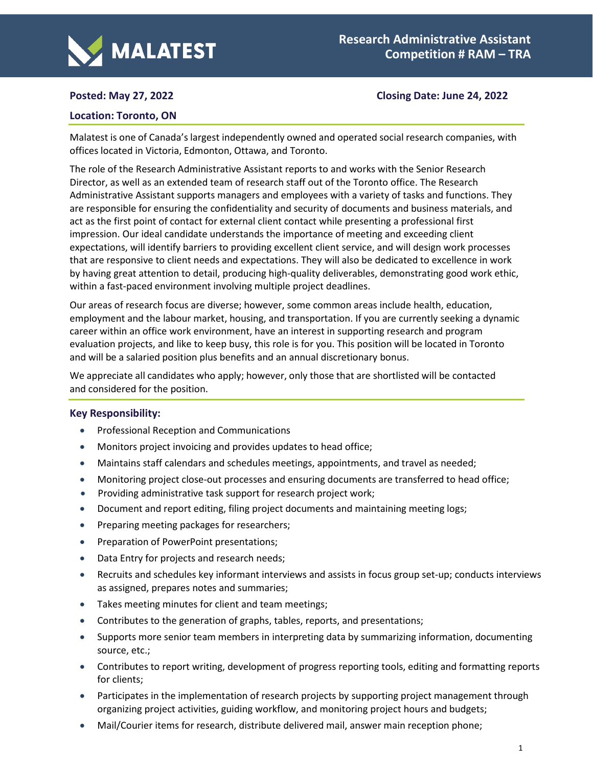

# **Posted: May 27, 2022 Closing Date: June 24, 2022**

# **Location: Toronto, ON**

Malatest is one of Canada's largest independently owned and operated social research companies, with offices located in Victoria, Edmonton, Ottawa, and Toronto.

The role of the Research Administrative Assistant reports to and works with the Senior Research Director, as well as an extended team of research staff out of the Toronto office. The Research Administrative Assistant supports managers and employees with a variety of tasks and functions. They are responsible for ensuring the confidentiality and security of documents and business materials, and act as the first point of contact for external client contact while presenting a professional first impression. Our ideal candidate understands the importance of meeting and exceeding client expectations, will identify barriers to providing excellent client service, and will design work processes that are responsive to client needs and expectations. They will also be dedicated to excellence in work by having great attention to detail, producing high-quality deliverables, demonstrating good work ethic, within a fast-paced environment involving multiple project deadlines.

Our areas of research focus are diverse; however, some common areas include health, education, employment and the labour market, housing, and transportation. If you are currently seeking a dynamic career within an office work environment, have an interest in supporting research and program evaluation projects, and like to keep busy, this role is for you. This position will be located in Toronto and will be a salaried position plus benefits and an annual discretionary bonus.

We appreciate all candidates who apply; however, only those that are shortlisted will be contacted and considered for the position.

## **Key Responsibility:**

- Professional Reception and Communications
- Monitors project invoicing and provides updates to head office;
- Maintains staff calendars and schedules meetings, appointments, and travel as needed;
- Monitoring project close-out processes and ensuring documents are transferred to head office;
- Providing administrative task support for research project work;
- Document and report editing, filing project documents and maintaining meeting logs;
- Preparing meeting packages for researchers;
- Preparation of PowerPoint presentations;
- Data Entry for projects and research needs;
- Recruits and schedules key informant interviews and assists in focus group set-up; conducts interviews as assigned, prepares notes and summaries;
- Takes meeting minutes for client and team meetings;
- Contributes to the generation of graphs, tables, reports, and presentations;
- Supports more senior team members in interpreting data by summarizing information, documenting source, etc.;
- Contributes to report writing, development of progress reporting tools, editing and formatting reports for clients;
- Participates in the implementation of research projects by supporting project management through organizing project activities, guiding workflow, and monitoring project hours and budgets;
- Mail/Courier items for research, distribute delivered mail, answer main reception phone;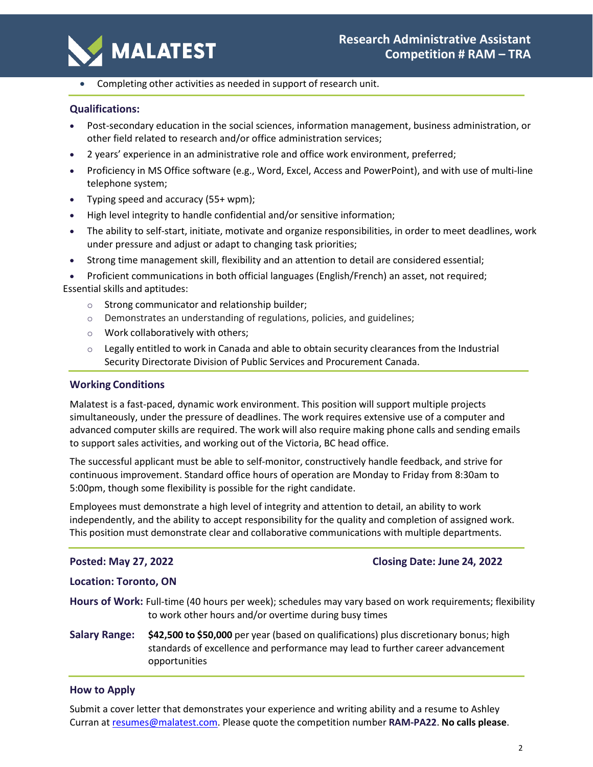

• Completing other activities as needed in support of research unit.

# **Qualifications:**

- Post-secondary education in the social sciences, information management, business administration, or other field related to research and/or office administration services;
- 2 years' experience in an administrative role and office work environment, preferred;
- Proficiency in MS Office software (e.g., Word, Excel, Access and PowerPoint), and with use of multi-line telephone system;
- Typing speed and accuracy (55+ wpm);
- High level integrity to handle confidential and/or sensitive information;
- The ability to self-start, initiate, motivate and organize responsibilities, in order to meet deadlines, work under pressure and adjust or adapt to changing task priorities;
- Strong time management skill, flexibility and an attention to detail are considered essential;

• Proficient communications in both official languages (English/French) an asset, not required; Essential skills and aptitudes:

- o Strong communicator and relationship builder;
- o Demonstrates an understanding of regulations, policies, and guidelines;
- o Work collaboratively with others;
- $\circ$  Legally entitled to work in Canada and able to obtain security clearances from the Industrial Security Directorate Division of Public Services and Procurement Canada.

# **Working Conditions**

Malatest is a fast-paced, dynamic work environment. This position will support multiple projects simultaneously, under the pressure of deadlines. The work requires extensive use of a computer and advanced computer skills are required. The work will also require making phone calls and sending emails to support sales activities, and working out of the Victoria, BC head office.

The successful applicant must be able to self-monitor, constructively handle feedback, and strive for continuous improvement. Standard office hours of operation are Monday to Friday from 8:30am to 5:00pm, though some flexibility is possible for the right candidate.

Employees must demonstrate a high level of integrity and attention to detail, an ability to work independently, and the ability to accept responsibility for the quality and completion of assigned work. This position must demonstrate clear and collaborative communications with multiple departments.

## **Posted: May 27, 2022 Closing Date: June 24, 2022**

## **Location: Toronto, ON**

**Hours of Work:** Full-time (40 hours per week); schedules may vary based on work requirements; flexibility to work other hours and/or overtime during busy times

**Salary Range: \$42,500 to \$50,000** per year (based on qualifications) plus discretionary bonus; high standards of excellence and performance may lead to further career advancement opportunities

## **How to Apply**

Submit a cover letter that demonstrates your experience and writing ability and a resume to Ashley Curran at [resumes@malatest.com.](mailto:resumes@malatest.com) Please quote the competition number **RAM-PA22**. **No calls please**.